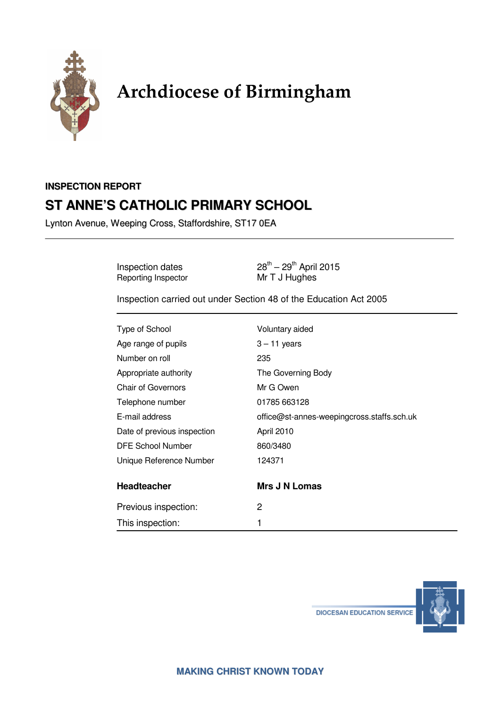

# Archdiocese of Birmingham

# **INSPECTION REPORT ST ANNE'S CATHOLIC PRIMARY SCHOOL**

Lynton Avenue, Weeping Cross, Staffordshire, ST17 0EA

Reporting Inspector

Inspection dates  $28^{th} - 29^{th}$  April 2015<br>
Reporting Inspector Mr T J Hughes

Inspection carried out under Section 48 of the Education Act 2005

| Type of School              | Voluntary aided                            |
|-----------------------------|--------------------------------------------|
| Age range of pupils         | $3 - 11$ years                             |
| Number on roll              | 235                                        |
| Appropriate authority       | The Governing Body                         |
| <b>Chair of Governors</b>   | Mr G Owen                                  |
| Telephone number            | 01785 663128                               |
| E-mail address              | office@st-annes-weepingcross.staffs.sch.uk |
| Date of previous inspection | April 2010                                 |
| DFE School Number           | 860/3480                                   |
| Unique Reference Number     | 124371                                     |
| <b>Headteacher</b>          | <b>Mrs J N Lomas</b>                       |
| Previous inspection:        | 2                                          |
| This inspection:            |                                            |
|                             |                                            |

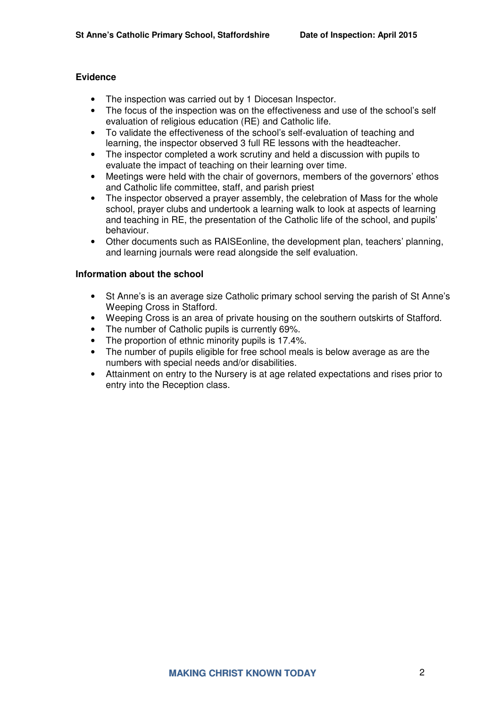#### **Evidence**

- The inspection was carried out by 1 Diocesan Inspector.
- The focus of the inspection was on the effectiveness and use of the school's self evaluation of religious education (RE) and Catholic life.
- To validate the effectiveness of the school's self-evaluation of teaching and learning, the inspector observed 3 full RE lessons with the headteacher.
- The inspector completed a work scrutiny and held a discussion with pupils to evaluate the impact of teaching on their learning over time.
- Meetings were held with the chair of governors, members of the governors' ethos and Catholic life committee, staff, and parish priest
- The inspector observed a prayer assembly, the celebration of Mass for the whole school, prayer clubs and undertook a learning walk to look at aspects of learning and teaching in RE, the presentation of the Catholic life of the school, and pupils' behaviour.
- Other documents such as RAISEonline, the development plan, teachers' planning, and learning journals were read alongside the self evaluation.

#### **Information about the school**

- St Anne's is an average size Catholic primary school serving the parish of St Anne's Weeping Cross in Stafford.
- Weeping Cross is an area of private housing on the southern outskirts of Stafford.
- The number of Catholic pupils is currently 69%.
- The proportion of ethnic minority pupils is 17.4%.
- The number of pupils eligible for free school meals is below average as are the numbers with special needs and/or disabilities.
- Attainment on entry to the Nursery is at age related expectations and rises prior to entry into the Reception class.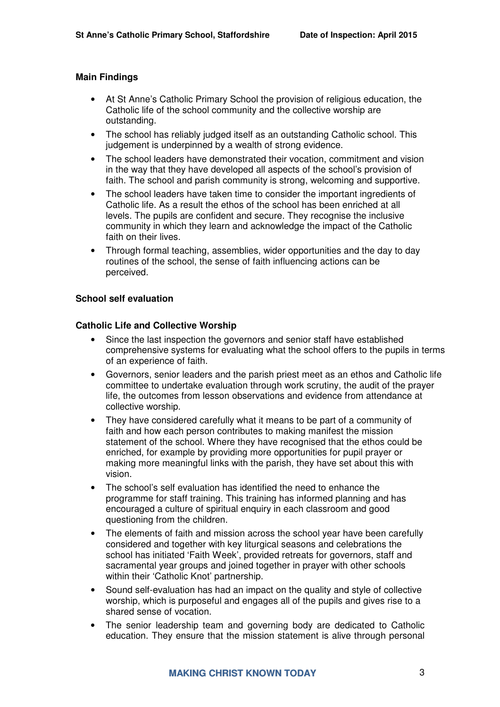#### **Main Findings**

- At St Anne's Catholic Primary School the provision of religious education, the Catholic life of the school community and the collective worship are outstanding.
- The school has reliably judged itself as an outstanding Catholic school. This judgement is underpinned by a wealth of strong evidence.
- The school leaders have demonstrated their vocation, commitment and vision in the way that they have developed all aspects of the school's provision of faith. The school and parish community is strong, welcoming and supportive.
- The school leaders have taken time to consider the important ingredients of Catholic life. As a result the ethos of the school has been enriched at all levels. The pupils are confident and secure. They recognise the inclusive community in which they learn and acknowledge the impact of the Catholic faith on their lives.
- Through formal teaching, assemblies, wider opportunities and the day to day routines of the school, the sense of faith influencing actions can be perceived.

#### **School self evaluation**

#### **Catholic Life and Collective Worship**

- Since the last inspection the governors and senior staff have established comprehensive systems for evaluating what the school offers to the pupils in terms of an experience of faith.
- Governors, senior leaders and the parish priest meet as an ethos and Catholic life committee to undertake evaluation through work scrutiny, the audit of the prayer life, the outcomes from lesson observations and evidence from attendance at collective worship.
- They have considered carefully what it means to be part of a community of faith and how each person contributes to making manifest the mission statement of the school. Where they have recognised that the ethos could be enriched, for example by providing more opportunities for pupil prayer or making more meaningful links with the parish, they have set about this with vision.
- The school's self evaluation has identified the need to enhance the programme for staff training. This training has informed planning and has encouraged a culture of spiritual enquiry in each classroom and good questioning from the children.
- The elements of faith and mission across the school year have been carefully considered and together with key liturgical seasons and celebrations the school has initiated 'Faith Week', provided retreats for governors, staff and sacramental year groups and joined together in prayer with other schools within their 'Catholic Knot' partnership.
- Sound self-evaluation has had an impact on the quality and style of collective worship, which is purposeful and engages all of the pupils and gives rise to a shared sense of vocation.
- The senior leadership team and governing body are dedicated to Catholic education. They ensure that the mission statement is alive through personal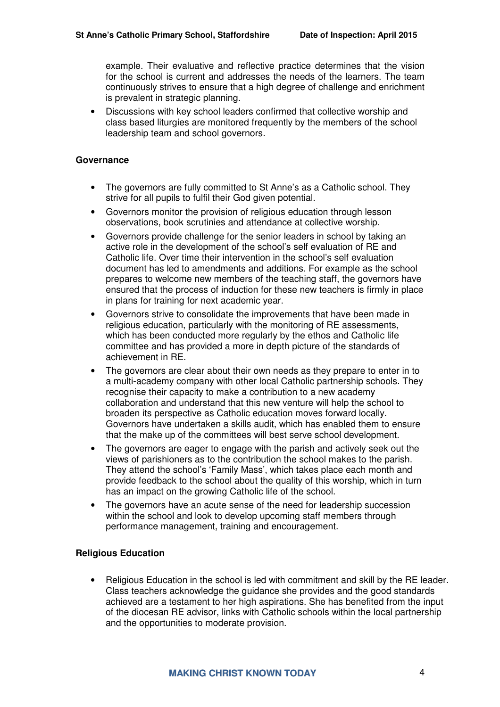example. Their evaluative and reflective practice determines that the vision for the school is current and addresses the needs of the learners. The team continuously strives to ensure that a high degree of challenge and enrichment is prevalent in strategic planning.

• Discussions with key school leaders confirmed that collective worship and class based liturgies are monitored frequently by the members of the school leadership team and school governors.

#### **Governance**

- The governors are fully committed to St Anne's as a Catholic school. They strive for all pupils to fulfil their God given potential.
- Governors monitor the provision of religious education through lesson observations, book scrutinies and attendance at collective worship.
- Governors provide challenge for the senior leaders in school by taking an active role in the development of the school's self evaluation of RE and Catholic life. Over time their intervention in the school's self evaluation document has led to amendments and additions. For example as the school prepares to welcome new members of the teaching staff, the governors have ensured that the process of induction for these new teachers is firmly in place in plans for training for next academic year.
- Governors strive to consolidate the improvements that have been made in religious education, particularly with the monitoring of RE assessments, which has been conducted more regularly by the ethos and Catholic life committee and has provided a more in depth picture of the standards of achievement in RE.
- The governors are clear about their own needs as they prepare to enter in to a multi-academy company with other local Catholic partnership schools. They recognise their capacity to make a contribution to a new academy collaboration and understand that this new venture will help the school to broaden its perspective as Catholic education moves forward locally. Governors have undertaken a skills audit, which has enabled them to ensure that the make up of the committees will best serve school development.
- The governors are eager to engage with the parish and actively seek out the views of parishioners as to the contribution the school makes to the parish. They attend the school's 'Family Mass', which takes place each month and provide feedback to the school about the quality of this worship, which in turn has an impact on the growing Catholic life of the school.
- The governors have an acute sense of the need for leadership succession within the school and look to develop upcoming staff members through performance management, training and encouragement.

#### **Religious Education**

• Religious Education in the school is led with commitment and skill by the RE leader. Class teachers acknowledge the guidance she provides and the good standards achieved are a testament to her high aspirations. She has benefited from the input of the diocesan RE advisor, links with Catholic schools within the local partnership and the opportunities to moderate provision.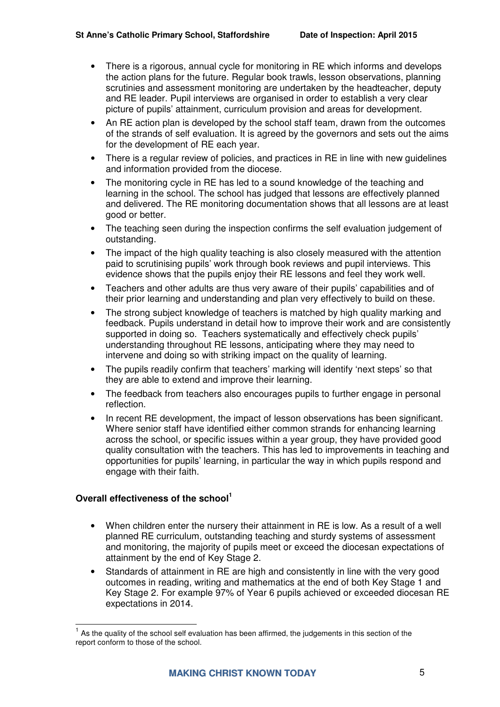- There is a rigorous, annual cycle for monitoring in RE which informs and develops the action plans for the future. Regular book trawls, lesson observations, planning scrutinies and assessment monitoring are undertaken by the headteacher, deputy and RE leader. Pupil interviews are organised in order to establish a very clear picture of pupils' attainment, curriculum provision and areas for development.
- An RE action plan is developed by the school staff team, drawn from the outcomes of the strands of self evaluation. It is agreed by the governors and sets out the aims for the development of RE each year.
- There is a regular review of policies, and practices in RE in line with new guidelines and information provided from the diocese.
- The monitoring cycle in RE has led to a sound knowledge of the teaching and learning in the school. The school has judged that lessons are effectively planned and delivered. The RE monitoring documentation shows that all lessons are at least good or better.
- The teaching seen during the inspection confirms the self evaluation judgement of outstanding.
- The impact of the high quality teaching is also closely measured with the attention paid to scrutinising pupils' work through book reviews and pupil interviews. This evidence shows that the pupils enjoy their RE lessons and feel they work well.
- Teachers and other adults are thus very aware of their pupils' capabilities and of their prior learning and understanding and plan very effectively to build on these.
- The strong subject knowledge of teachers is matched by high quality marking and feedback. Pupils understand in detail how to improve their work and are consistently supported in doing so. Teachers systematically and effectively check pupils' understanding throughout RE lessons, anticipating where they may need to intervene and doing so with striking impact on the quality of learning.
- The pupils readily confirm that teachers' marking will identify 'next steps' so that they are able to extend and improve their learning.
- The feedback from teachers also encourages pupils to further engage in personal reflection.
- In recent RE development, the impact of lesson observations has been significant. Where senior staff have identified either common strands for enhancing learning across the school, or specific issues within a year group, they have provided good quality consultation with the teachers. This has led to improvements in teaching and opportunities for pupils' learning, in particular the way in which pupils respond and engage with their faith.

### **Overall effectiveness of the school<sup>1</sup>**

- When children enter the nursery their attainment in RE is low. As a result of a well planned RE curriculum, outstanding teaching and sturdy systems of assessment and monitoring, the majority of pupils meet or exceed the diocesan expectations of attainment by the end of Key Stage 2.
- Standards of attainment in RE are high and consistently in line with the very good outcomes in reading, writing and mathematics at the end of both Key Stage 1 and Key Stage 2. For example 97% of Year 6 pupils achieved or exceeded diocesan RE expectations in 2014.

 $\overline{a}$  $<sup>1</sup>$  As the quality of the school self evaluation has been affirmed, the judgements in this section of the</sup> report conform to those of the school.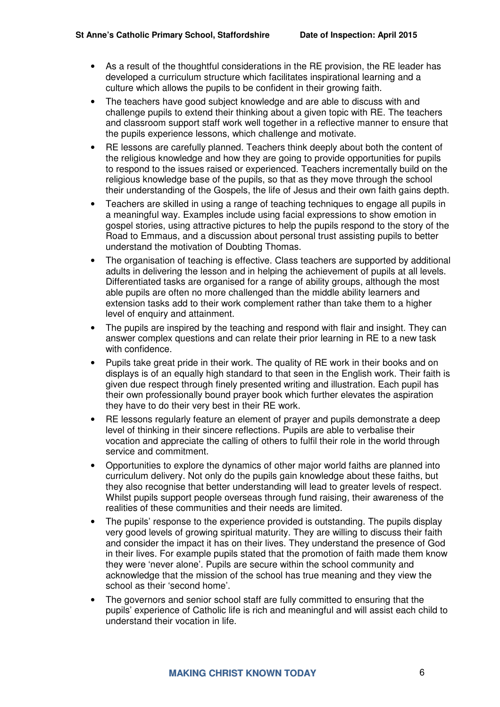- As a result of the thoughtful considerations in the RE provision, the RE leader has developed a curriculum structure which facilitates inspirational learning and a culture which allows the pupils to be confident in their growing faith.
- The teachers have good subject knowledge and are able to discuss with and challenge pupils to extend their thinking about a given topic with RE. The teachers and classroom support staff work well together in a reflective manner to ensure that the pupils experience lessons, which challenge and motivate.
- RE lessons are carefully planned. Teachers think deeply about both the content of the religious knowledge and how they are going to provide opportunities for pupils to respond to the issues raised or experienced. Teachers incrementally build on the religious knowledge base of the pupils, so that as they move through the school their understanding of the Gospels, the life of Jesus and their own faith gains depth.
- Teachers are skilled in using a range of teaching techniques to engage all pupils in a meaningful way. Examples include using facial expressions to show emotion in gospel stories, using attractive pictures to help the pupils respond to the story of the Road to Emmaus, and a discussion about personal trust assisting pupils to better understand the motivation of Doubting Thomas.
- The organisation of teaching is effective. Class teachers are supported by additional adults in delivering the lesson and in helping the achievement of pupils at all levels. Differentiated tasks are organised for a range of ability groups, although the most able pupils are often no more challenged than the middle ability learners and extension tasks add to their work complement rather than take them to a higher level of enquiry and attainment.
- The pupils are inspired by the teaching and respond with flair and insight. They can answer complex questions and can relate their prior learning in RE to a new task with confidence.
- Pupils take great pride in their work. The quality of RE work in their books and on displays is of an equally high standard to that seen in the English work. Their faith is given due respect through finely presented writing and illustration. Each pupil has their own professionally bound prayer book which further elevates the aspiration they have to do their very best in their RE work.
- RE lessons regularly feature an element of prayer and pupils demonstrate a deep level of thinking in their sincere reflections. Pupils are able to verbalise their vocation and appreciate the calling of others to fulfil their role in the world through service and commitment.
- Opportunities to explore the dynamics of other major world faiths are planned into curriculum delivery. Not only do the pupils gain knowledge about these faiths, but they also recognise that better understanding will lead to greater levels of respect. Whilst pupils support people overseas through fund raising, their awareness of the realities of these communities and their needs are limited.
- The pupils' response to the experience provided is outstanding. The pupils display very good levels of growing spiritual maturity. They are willing to discuss their faith and consider the impact it has on their lives. They understand the presence of God in their lives. For example pupils stated that the promotion of faith made them know they were 'never alone'. Pupils are secure within the school community and acknowledge that the mission of the school has true meaning and they view the school as their 'second home'.
- The governors and senior school staff are fully committed to ensuring that the pupils' experience of Catholic life is rich and meaningful and will assist each child to understand their vocation in life.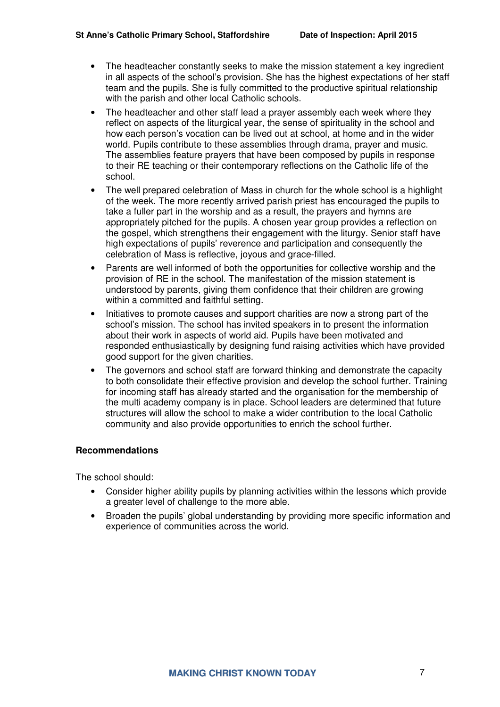- The headteacher constantly seeks to make the mission statement a key ingredient in all aspects of the school's provision. She has the highest expectations of her staff team and the pupils. She is fully committed to the productive spiritual relationship with the parish and other local Catholic schools.
- The headteacher and other staff lead a prayer assembly each week where they reflect on aspects of the liturgical year, the sense of spirituality in the school and how each person's vocation can be lived out at school, at home and in the wider world. Pupils contribute to these assemblies through drama, prayer and music. The assemblies feature prayers that have been composed by pupils in response to their RE teaching or their contemporary reflections on the Catholic life of the school.
- The well prepared celebration of Mass in church for the whole school is a highlight of the week. The more recently arrived parish priest has encouraged the pupils to take a fuller part in the worship and as a result, the prayers and hymns are appropriately pitched for the pupils. A chosen year group provides a reflection on the gospel, which strengthens their engagement with the liturgy. Senior staff have high expectations of pupils' reverence and participation and consequently the celebration of Mass is reflective, joyous and grace-filled.
- Parents are well informed of both the opportunities for collective worship and the provision of RE in the school. The manifestation of the mission statement is understood by parents, giving them confidence that their children are growing within a committed and faithful setting.
- Initiatives to promote causes and support charities are now a strong part of the school's mission. The school has invited speakers in to present the information about their work in aspects of world aid. Pupils have been motivated and responded enthusiastically by designing fund raising activities which have provided good support for the given charities.
- The governors and school staff are forward thinking and demonstrate the capacity to both consolidate their effective provision and develop the school further. Training for incoming staff has already started and the organisation for the membership of the multi academy company is in place. School leaders are determined that future structures will allow the school to make a wider contribution to the local Catholic community and also provide opportunities to enrich the school further.

#### **Recommendations**

The school should:

- Consider higher ability pupils by planning activities within the lessons which provide a greater level of challenge to the more able.
- Broaden the pupils' global understanding by providing more specific information and experience of communities across the world.